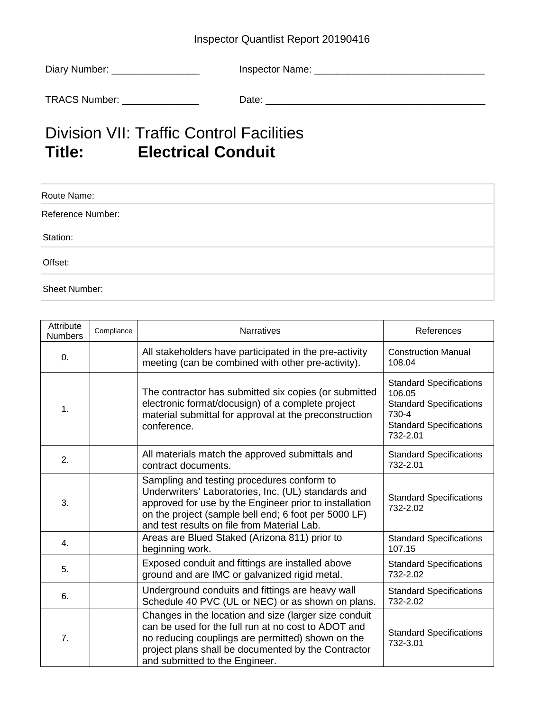## Inspector Quantlist Report 20190416

| Diary Number: | Inspector Name: |
|---------------|-----------------|
| TRACS Number: | Date:           |

## Division VII: Traffic Control Facilities<br>
Title: Electrical Conduit **Electrical Conduit**

| Route Name:       |  |
|-------------------|--|
| Reference Number: |  |
| Station:          |  |
| Offset:           |  |
| Sheet Number:     |  |

| Attribute<br>Numbers | Compliance | <b>Narratives</b>                                                                                                                                                                                                                                                  | References                                                                                                                        |
|----------------------|------------|--------------------------------------------------------------------------------------------------------------------------------------------------------------------------------------------------------------------------------------------------------------------|-----------------------------------------------------------------------------------------------------------------------------------|
| 0.                   |            | All stakeholders have participated in the pre-activity<br>meeting (can be combined with other pre-activity).                                                                                                                                                       | <b>Construction Manual</b><br>108.04                                                                                              |
| 1.                   |            | The contractor has submitted six copies (or submitted<br>electronic format/docusign) of a complete project<br>material submittal for approval at the preconstruction<br>conference.                                                                                | <b>Standard Specifications</b><br>106.05<br><b>Standard Specifications</b><br>730-4<br><b>Standard Specifications</b><br>732-2.01 |
| 2.                   |            | All materials match the approved submittals and<br>contract documents.                                                                                                                                                                                             | <b>Standard Specifications</b><br>732-2.01                                                                                        |
| 3.                   |            | Sampling and testing procedures conform to<br>Underwriters' Laboratories, Inc. (UL) standards and<br>approved for use by the Engineer prior to installation<br>on the project (sample bell end; 6 foot per 5000 LF)<br>and test results on file from Material Lab. | <b>Standard Specifications</b><br>732-2.02                                                                                        |
| 4.                   |            | Areas are Blued Staked (Arizona 811) prior to<br>beginning work.                                                                                                                                                                                                   | <b>Standard Specifications</b><br>107.15                                                                                          |
| 5.                   |            | Exposed conduit and fittings are installed above<br>ground and are IMC or galvanized rigid metal.                                                                                                                                                                  | <b>Standard Specifications</b><br>732-2.02                                                                                        |
| 6.                   |            | Underground conduits and fittings are heavy wall<br>Schedule 40 PVC (UL or NEC) or as shown on plans.                                                                                                                                                              | <b>Standard Specifications</b><br>732-2.02                                                                                        |
| 7.                   |            | Changes in the location and size (larger size conduit<br>can be used for the full run at no cost to ADOT and<br>no reducing couplings are permitted) shown on the<br>project plans shall be documented by the Contractor<br>and submitted to the Engineer.         | <b>Standard Specifications</b><br>732-3.01                                                                                        |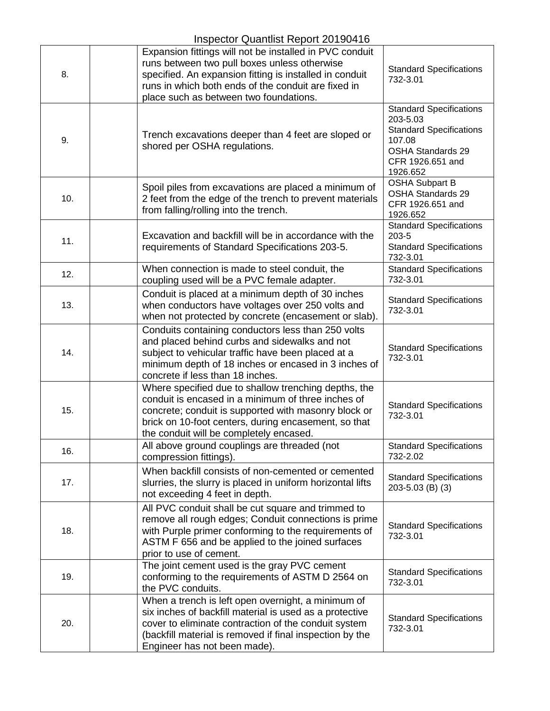## Inspector Quantlist Report 20190416

| 8.  | Expansion fittings will not be installed in PVC conduit<br>runs between two pull boxes unless otherwise<br>specified. An expansion fitting is installed in conduit<br>runs in which both ends of the conduit are fixed in<br>place such as between two foundations.   | <b>Standard Specifications</b><br>732-3.01                                                                                                         |
|-----|-----------------------------------------------------------------------------------------------------------------------------------------------------------------------------------------------------------------------------------------------------------------------|----------------------------------------------------------------------------------------------------------------------------------------------------|
| 9.  | Trench excavations deeper than 4 feet are sloped or<br>shored per OSHA regulations.                                                                                                                                                                                   | <b>Standard Specifications</b><br>203-5.03<br><b>Standard Specifications</b><br>107.08<br><b>OSHA Standards 29</b><br>CFR 1926.651 and<br>1926.652 |
| 10. | Spoil piles from excavations are placed a minimum of<br>2 feet from the edge of the trench to prevent materials<br>from falling/rolling into the trench.                                                                                                              | <b>OSHA Subpart B</b><br><b>OSHA Standards 29</b><br>CFR 1926.651 and<br>1926.652                                                                  |
| 11. | Excavation and backfill will be in accordance with the<br>requirements of Standard Specifications 203-5.                                                                                                                                                              | <b>Standard Specifications</b><br>203-5<br><b>Standard Specifications</b><br>732-3.01                                                              |
| 12. | When connection is made to steel conduit, the<br>coupling used will be a PVC female adapter.                                                                                                                                                                          | <b>Standard Specifications</b><br>732-3.01                                                                                                         |
| 13. | Conduit is placed at a minimum depth of 30 inches<br>when conductors have voltages over 250 volts and<br>when not protected by concrete (encasement or slab).                                                                                                         | <b>Standard Specifications</b><br>732-3.01                                                                                                         |
| 14. | Conduits containing conductors less than 250 volts<br>and placed behind curbs and sidewalks and not<br>subject to vehicular traffic have been placed at a<br>minimum depth of 18 inches or encased in 3 inches of<br>concrete if less than 18 inches.                 | <b>Standard Specifications</b><br>732-3.01                                                                                                         |
| 15. | Where specified due to shallow trenching depths, the<br>conduit is encased in a minimum of three inches of<br>concrete; conduit is supported with masonry block or<br>brick on 10-foot centers, during encasement, so that<br>the conduit will be completely encased. | <b>Standard Specifications</b><br>732-3.01                                                                                                         |
| 16. | All above ground couplings are threaded (not<br>compression fittings).                                                                                                                                                                                                | <b>Standard Specifications</b><br>732-2.02                                                                                                         |
| 17. | When backfill consists of non-cemented or cemented<br>slurries, the slurry is placed in uniform horizontal lifts<br>not exceeding 4 feet in depth.                                                                                                                    | <b>Standard Specifications</b><br>203-5.03 (B) (3)                                                                                                 |
| 18. | All PVC conduit shall be cut square and trimmed to<br>remove all rough edges; Conduit connections is prime<br>with Purple primer conforming to the requirements of<br>ASTM F 656 and be applied to the joined surfaces<br>prior to use of cement.                     | <b>Standard Specifications</b><br>732-3.01                                                                                                         |
| 19. | The joint cement used is the gray PVC cement<br>conforming to the requirements of ASTM D 2564 on<br>the PVC conduits.                                                                                                                                                 | <b>Standard Specifications</b><br>732-3.01                                                                                                         |
| 20. | When a trench is left open overnight, a minimum of<br>six inches of backfill material is used as a protective<br>cover to eliminate contraction of the conduit system<br>(backfill material is removed if final inspection by the<br>Engineer has not been made).     | <b>Standard Specifications</b><br>732-3.01                                                                                                         |